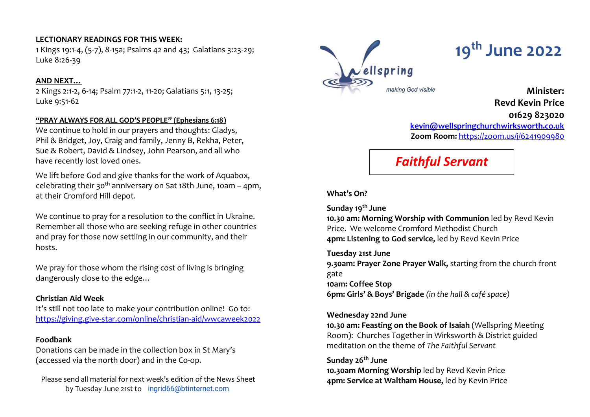#### **LECTIONARY READINGS FOR THIS WEEK:**

1 Kings 19:1-4, (5-7), 8-15a; Psalms 42 and 43; Galatians 3:23-29; Luke 8:26-39

#### **AND NEXT…**

2 Kings 2:1-2, 6-14; Psalm 77:1-2, 11-20; Galatians 5:1, 13-25; Luke 9:51-62

#### **"PRAY ALWAYS FOR ALL GOD'S PEOPLE" (Ephesians 6:18)**

We continue to hold in our prayers and thoughts: Gladys, Phil & Bridget, Joy, Craig and family, Jenny B, Rekha, Peter, Sue & Robert, David & Lindsey, John Pearson, and all who have recently lost loved ones.

We lift before God and give thanks for the work of Aquabox, celebrating their 30<sup>th</sup> anniversary on Sat 18th June, 10am – 4pm, at their Cromford Hill depot.

We continue to pray for a resolution to the conflict in Ukraine. Remember all those who are seeking refuge in other countries and pray for those now settling in our community, and their hosts.

We pray for those whom the rising cost of living is bringing dangerously close to the edge…

#### **Christian Aid Week**

It's still not too late to make your contribution online! Go to: <https://giving.give-star.com/online/christian-aid/wwcaweek2022>

#### **Foodbank**

Donations can be made in the collection box in St Mary's (accessed via the north door) and in the Co-op.

Please send all material for next week's edition of the News Sheet by Tuesday June 21st to [ingrid66@btinternet.com](mailto:ingrid66@btinternet.com)



# **19 th June 2022**

making God visible

**Minister: Revd Kevin Price 01629 823020 [kevin@wellspringchurchwirksworth.co.uk](mailto:kevin@wellspringchurchwirksworth.co.uk)**

**Zoom Room:** <https://zoom.us/j/6241909980>

## *Faithful Servant*

#### **What's On?**

**Sunday 19th June**

**15 vs 1** 

**10.30 am: Morning Worship with Communion** led by Revd Kevin Price. We welcome Cromford Methodist Church **4pm: Listening to God service,** led by Revd Kevin Price

**Tuesday 21st June 9.30am: Prayer Zone Prayer Walk,** starting from the church front 2013 gate **10am: Coffee Stop Prayer** 

**6pm: Girls' & Boys' Brigade** (in the hall & café space)

### **Wednesday 22nd June**

**10.30 am: Feasting on the Book of Isaiah** (Wellspring Meeting Room): Churches Together in Wirksworth & District guided meditation on the theme of *The Faithful Servant* fed.

#### **Sunday 26th June**  $\mathcal{L}$

**10.30am Morning Worship** led by Revd Kevin Price **4pm: Service at Waltham House, led by Kevin Price** away your broken branches,